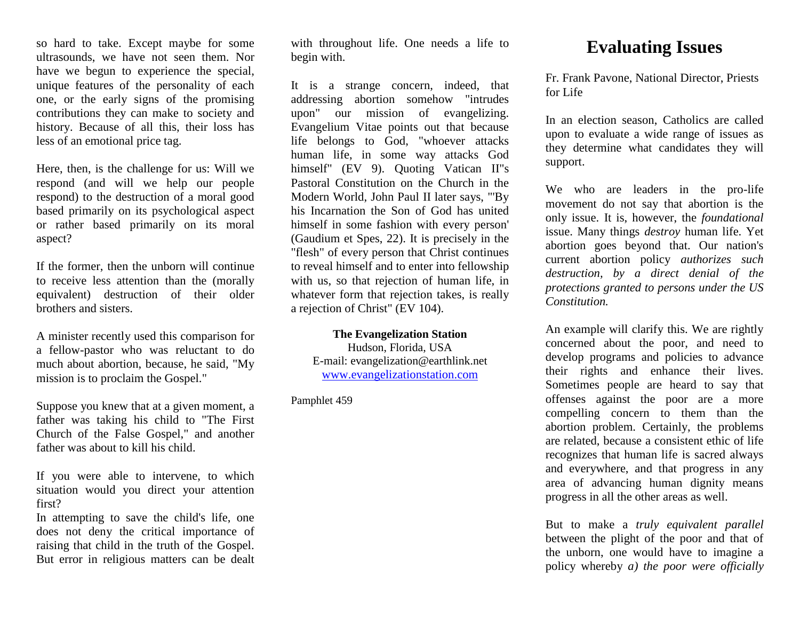so hard to take. Except maybe for some ultrasounds, we have not seen them. Nor have we begun to experience the special, unique features of the personality of each one, or the early signs of the promising contributions they can make to society and history. Because of all this, their loss has less of an emotional price tag.

Here, then, is the challenge for us: Will we respond (and will we help our people respond) to the destruction of a moral good based primarily on its psychological aspect or rather based primarily on its moral aspect?

If the former, then the unborn will continue to receive less attention than the (morally equivalent) destruction of their older brothers and sisters.

A minister recently used this comparison for a fellow-pastor who was reluctant to do much about abortion, because, he said, "My mission is to proclaim the Gospel."

Suppose you knew that at a given moment, a father was taking his child to "The First Church of the False Gospel," and another father was about to kill his child.

If you were able to intervene, to which situation would you direct your attention first?

In attempting to save the child's life, one does not deny the critical importance of raising that child in the truth of the Gospel. But error in religious matters can be dealt with throughout life. One needs a life to begin with.

It is a strange concern, indeed, that addressing abortion somehow "intrudes upon" our mission of evangelizing. Evangelium Vitae points out that because life belongs to God, "whoever attacks human life, in some way attacks God himself" (EV 9). Quoting Vatican II's Pastoral Constitution on the Church in the Modern World, John Paul II later says, "'By his Incarnation the Son of God has united himself in some fashion with every person' (Gaudium et Spes, 22). It is precisely in the "flesh" of every person that Christ continues to reveal himself and to enter into fellowship with us, so that rejection of human life, in whatever form that rejection takes, is really a rejection of Christ" (EV 104).

#### **The Evangelization Station**

Hudson, Florida, USA E-mail: evangelization@earthlink.net [www.evangelizationstation.com](http://www.pjpiisoe.org/)

Pamphlet 459

# **Evaluating Issues**

Fr. Frank Pavone, National Director, Priests for Life

In an election season, Catholics are called upon to evaluate a wide range of issues as they determine what candidates they will support.

We who are leaders in the pro-life movement do not say that abortion is the only issue. It is, however, the *foundational* issue. Many things *destroy* human life. Yet abortion goes beyond that. Our nation's current abortion policy *authorizes such destruction, by a direct denial of the protections granted to persons under the US Constitution.*

An example will clarify this. We are rightly concerned about the poor, and need to develop programs and policies to advance their rights and enhance their lives. Sometimes people are heard to say that offenses against the poor are a more compelling concern to them than the abortion problem. Certainly, the problems are related, because a consistent ethic of life recognizes that human life is sacred always and everywhere, and that progress in any area of advancing human dignity means progress in all the other areas as well.

But to make a *truly equivalent parallel*  between the plight of the poor and that of the unborn, one would have to imagine a policy whereby *a) the poor were officially*